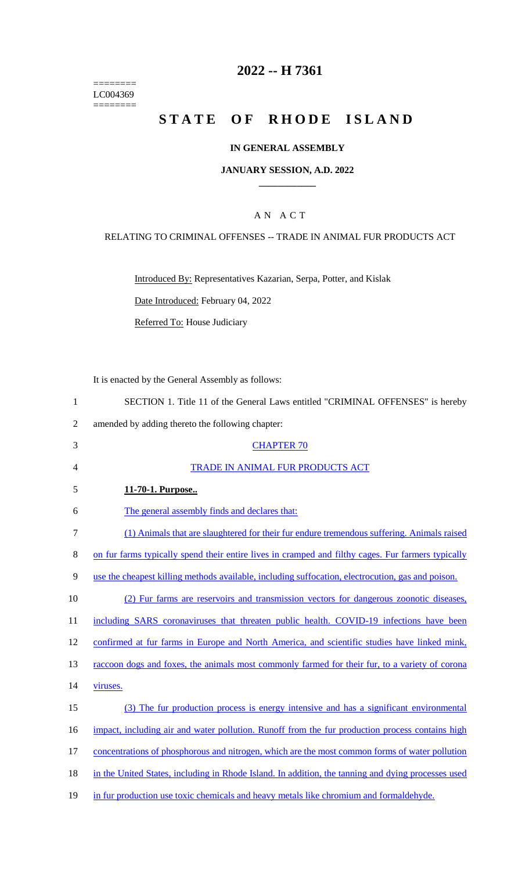======== LC004369  $=$ 

# **2022 -- H 7361**

# STATE OF RHODE ISLAND

## **IN GENERAL ASSEMBLY**

### **JANUARY SESSION, A.D. 2022 \_\_\_\_\_\_\_\_\_\_\_\_**

# A N A C T

## RELATING TO CRIMINAL OFFENSES -- TRADE IN ANIMAL FUR PRODUCTS ACT

Introduced By: Representatives Kazarian, Serpa, Potter, and Kislak

Date Introduced: February 04, 2022

Referred To: House Judiciary

It is enacted by the General Assembly as follows:

| 1              | SECTION 1. Title 11 of the General Laws entitled "CRIMINAL OFFENSES" is hereby                     |
|----------------|----------------------------------------------------------------------------------------------------|
| $\overline{2}$ | amended by adding thereto the following chapter:                                                   |
| 3              | <b>CHAPTER 70</b>                                                                                  |
| $\overline{4}$ | TRADE IN ANIMAL FUR PRODUCTS ACT                                                                   |
| 5              | 11-70-1. Purpose                                                                                   |
| 6              | The general assembly finds and declares that:                                                      |
| 7              | (1) Animals that are slaughtered for their fur endure tremendous suffering. Animals raised         |
| 8              | on fur farms typically spend their entire lives in cramped and filthy cages. Fur farmers typically |
| 9              | use the cheapest killing methods available, including suffocation, electrocution, gas and poison.  |
| 10             | (2) Fur farms are reservoirs and transmission vectors for dangerous zoonotic diseases,             |
| 11             | including SARS coronaviruses that threaten public health. COVID-19 infections have been            |
| 12             | confirmed at fur farms in Europe and North America, and scientific studies have linked mink,       |
| 13             | raccoon dogs and foxes, the animals most commonly farmed for their fur, to a variety of corona     |
| 14             | viruses.                                                                                           |
| 15             | (3) The fur production process is energy intensive and has a significant environmental             |
| 16             | impact, including air and water pollution. Runoff from the fur production process contains high    |
| 17             | concentrations of phosphorous and nitrogen, which are the most common forms of water pollution     |
| 18             | in the United States, including in Rhode Island. In addition, the tanning and dying processes used |
| 19             | in fur production use toxic chemicals and heavy metals like chromium and formaldehyde.             |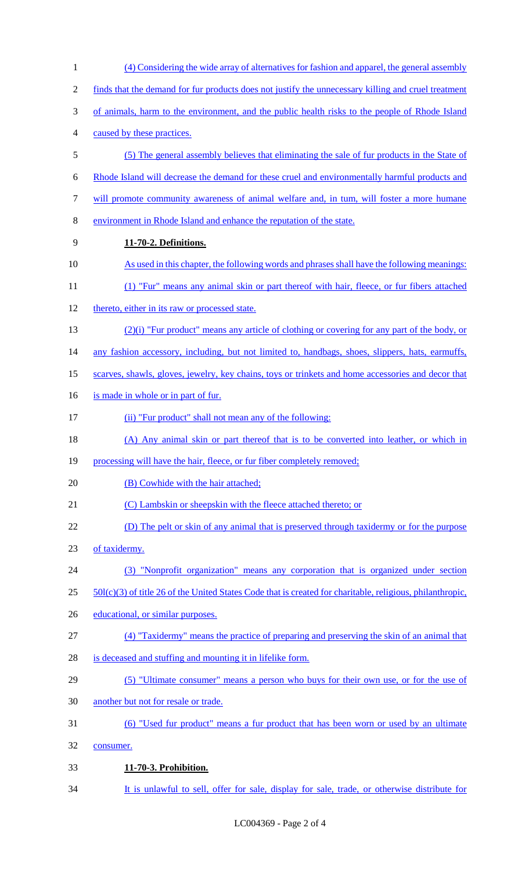| $\mathbf{1}$     | (4) Considering the wide array of alternatives for fashion and apparel, the general assembly                |
|------------------|-------------------------------------------------------------------------------------------------------------|
| $\overline{2}$   | finds that the demand for fur products does not justify the unnecessary killing and cruel treatment         |
| 3                | of animals, harm to the environment, and the public health risks to the people of Rhode Island              |
| $\overline{4}$   | caused by these practices.                                                                                  |
| $\mathfrak{S}$   | (5) The general assembly believes that eliminating the sale of fur products in the State of                 |
| 6                | Rhode Island will decrease the demand for these cruel and environmentally harmful products and              |
| $\boldsymbol{7}$ | will promote community awareness of animal welfare and, in tum, will foster a more humane                   |
| $8\,$            | environment in Rhode Island and enhance the reputation of the state.                                        |
| 9                | 11-70-2. Definitions.                                                                                       |
| 10               | As used in this chapter, the following words and phrases shall have the following meanings:                 |
| 11               | (1) "Fur" means any animal skin or part thereof with hair, fleece, or fur fibers attached                   |
| 12               | thereto, either in its raw or processed state.                                                              |
| 13               | $(2)(i)$ "Fur product" means any article of clothing or covering for any part of the body, or               |
| 14               | any fashion accessory, including, but not limited to, handbags, shoes, slippers, hats, earmuffs,            |
| 15               | scarves, shawls, gloves, jewelry, key chains, toys or trinkets and home accessories and decor that          |
| 16               | is made in whole or in part of fur.                                                                         |
| 17               | (ii) "Fur product" shall not mean any of the following:                                                     |
| 18               | (A) Any animal skin or part thereof that is to be converted into leather, or which in                       |
| 19               | processing will have the hair, fleece, or fur fiber completely removed;                                     |
| 20               | (B) Cowhide with the hair attached;                                                                         |
| 21               | (C) Lambskin or sheepskin with the fleece attached thereto; or                                              |
| 22               | (D) The pelt or skin of any animal that is preserved through taxidermy or for the purpose                   |
| 23               | of taxidermy.                                                                                               |
| 24               | (3) "Nonprofit organization" means any corporation that is organized under section                          |
| 25               | $50l(c)(3)$ of title 26 of the United States Code that is created for charitable, religious, philanthropic, |
| 26               | educational, or similar purposes.                                                                           |
| 27               | (4) "Taxidermy" means the practice of preparing and preserving the skin of an animal that                   |
| 28               | is deceased and stuffing and mounting it in lifelike form.                                                  |
| 29               | (5) "Ultimate consumer" means a person who buys for their own use, or for the use of                        |
| 30               | another but not for resale or trade.                                                                        |
| 31               | (6) "Used fur product" means a fur product that has been worn or used by an ultimate                        |
| 32               | consumer.                                                                                                   |
| 33               | 11-70-3. Prohibition.                                                                                       |
| 34               | It is unlawful to sell, offer for sale, display for sale, trade, or otherwise distribute for                |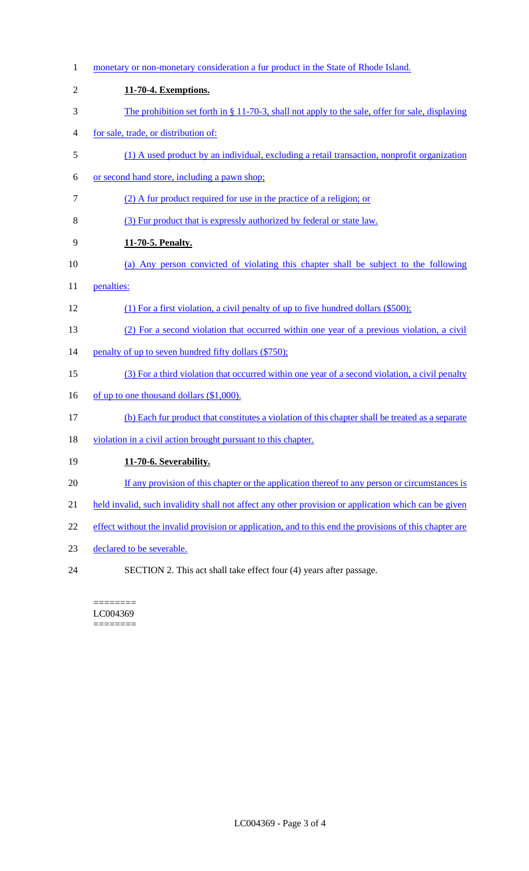1 monetary or non-monetary consideration a fur product in the State of Rhode Island. **11-70-4. Exemptions.**  The prohibition set forth in § 11-70-3, shall not apply to the sale, offer for sale, displaying for sale, trade, or distribution of: (1) A used product by an individual, excluding a retail transaction, nonprofit organization or second hand store, including a pawn shop; (2) A fur product required for use in the practice of a religion; or (3) Fur product that is expressly authorized by federal or state law. **11-70-5. Penalty.**  (a) Any person convicted of violating this chapter shall be subject to the following 11 penalties: (1) For a first violation, a civil penalty of up to five hundred dollars (\$500); (2) For a second violation that occurred within one year of a previous violation, a civil 14 penalty of up to seven hundred fifty dollars (\$750); (3) For a third violation that occurred within one year of a second violation, a civil penalty 16 of up to one thousand dollars (\$1,000). (b) Each fur product that constitutes a violation of this chapter shall be treated as a separate 18 violation in a civil action brought pursuant to this chapter. **11-70-6. Severability.**  20 If any provision of this chapter or the application thereof to any person or circumstances is held invalid, such invalidity shall not affect any other provision or application which can be given 22 effect without the invalid provision or application, and to this end the provisions of this chapter are declared to be severable. SECTION 2. This act shall take effect four (4) years after passage.

======== LC004369 ========